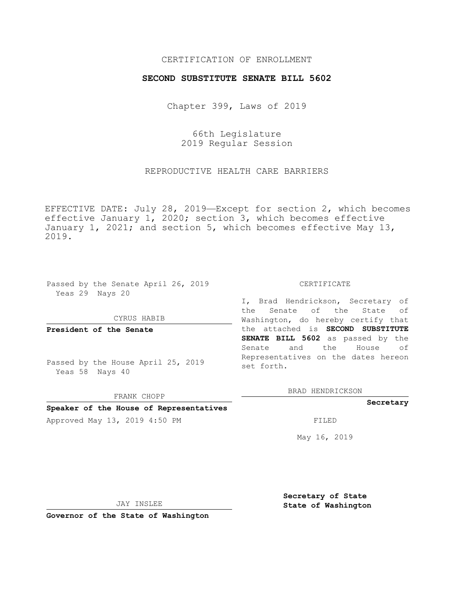### CERTIFICATION OF ENROLLMENT

#### **SECOND SUBSTITUTE SENATE BILL 5602**

Chapter 399, Laws of 2019

66th Legislature 2019 Regular Session

REPRODUCTIVE HEALTH CARE BARRIERS

EFFECTIVE DATE: July 28, 2019—Except for section 2, which becomes effective January 1, 2020; section 3, which becomes effective January 1, 2021; and section 5, which becomes effective May 13, 2019.

Passed by the Senate April 26, 2019 Yeas 29 Nays 20

CYRUS HABIB

FRANK CHOPP **Speaker of the House of Representatives**

**President of the Senate**

Passed by the House April 25, 2019 Yeas 58 Nays 40

CERTIFICATE

I, Brad Hendrickson, Secretary of the Senate of the State of Washington, do hereby certify that the attached is **SECOND SUBSTITUTE SENATE BILL 5602** as passed by the Senate and the House of Representatives on the dates hereon set forth.

BRAD HENDRICKSON

**Secretary**

Approved May 13, 2019 4:50 PM FILED

May 16, 2019

JAY INSLEE

**Governor of the State of Washington**

**Secretary of State State of Washington**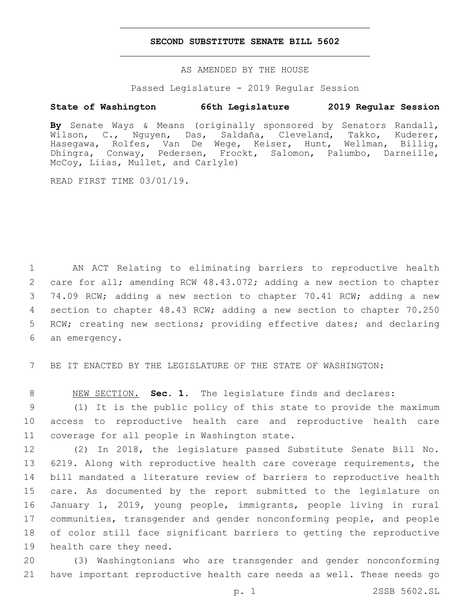#### **SECOND SUBSTITUTE SENATE BILL 5602**

AS AMENDED BY THE HOUSE

Passed Legislature - 2019 Regular Session

## **State of Washington 66th Legislature 2019 Regular Session**

**By** Senate Ways & Means (originally sponsored by Senators Randall, Wilson, C., Nguyen, Das, Saldaña, Cleveland, Takko, Kuderer, Hasegawa, Rolfes, Van De Wege, Keiser, Hunt, Wellman, Billig, Dhingra, Conway, Pedersen, Frockt, Salomon, Palumbo, Darneille, McCoy, Liias, Mullet, and Carlyle)

READ FIRST TIME 03/01/19.

 AN ACT Relating to eliminating barriers to reproductive health care for all; amending RCW 48.43.072; adding a new section to chapter 74.09 RCW; adding a new section to chapter 70.41 RCW; adding a new section to chapter 48.43 RCW; adding a new section to chapter 70.250 RCW; creating new sections; providing effective dates; and declaring 6 an emergency.

7 BE IT ENACTED BY THE LEGISLATURE OF THE STATE OF WASHINGTON:

8 NEW SECTION. **Sec. 1.** The legislature finds and declares:

9 (1) It is the public policy of this state to provide the maximum 10 access to reproductive health care and reproductive health care 11 coverage for all people in Washington state.

 (2) In 2018, the legislature passed Substitute Senate Bill No. 6219. Along with reproductive health care coverage requirements, the bill mandated a literature review of barriers to reproductive health care. As documented by the report submitted to the legislature on January 1, 2019, young people, immigrants, people living in rural communities, transgender and gender nonconforming people, and people of color still face significant barriers to getting the reproductive 19 health care they need.

20 (3) Washingtonians who are transgender and gender nonconforming 21 have important reproductive health care needs as well. These needs go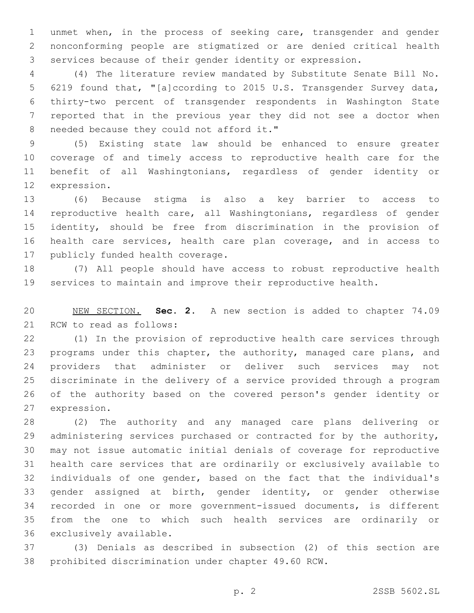unmet when, in the process of seeking care, transgender and gender nonconforming people are stigmatized or are denied critical health services because of their gender identity or expression.

 (4) The literature review mandated by Substitute Senate Bill No. 6219 found that, "[a]ccording to 2015 U.S. Transgender Survey data, thirty-two percent of transgender respondents in Washington State reported that in the previous year they did not see a doctor when 8 needed because they could not afford it."

 (5) Existing state law should be enhanced to ensure greater coverage of and timely access to reproductive health care for the benefit of all Washingtonians, regardless of gender identity or 12 expression.

 (6) Because stigma is also a key barrier to access to reproductive health care, all Washingtonians, regardless of gender identity, should be free from discrimination in the provision of health care services, health care plan coverage, and in access to 17 publicly funded health coverage.

 (7) All people should have access to robust reproductive health services to maintain and improve their reproductive health.

 NEW SECTION. **Sec. 2.** A new section is added to chapter 74.09 21 RCW to read as follows:

 (1) In the provision of reproductive health care services through programs under this chapter, the authority, managed care plans, and providers that administer or deliver such services may not discriminate in the delivery of a service provided through a program of the authority based on the covered person's gender identity or 27 expression.

 (2) The authority and any managed care plans delivering or administering services purchased or contracted for by the authority, may not issue automatic initial denials of coverage for reproductive health care services that are ordinarily or exclusively available to individuals of one gender, based on the fact that the individual's gender assigned at birth, gender identity, or gender otherwise recorded in one or more government-issued documents, is different from the one to which such health services are ordinarily or 36 exclusively available.

 (3) Denials as described in subsection (2) of this section are prohibited discrimination under chapter 49.60 RCW.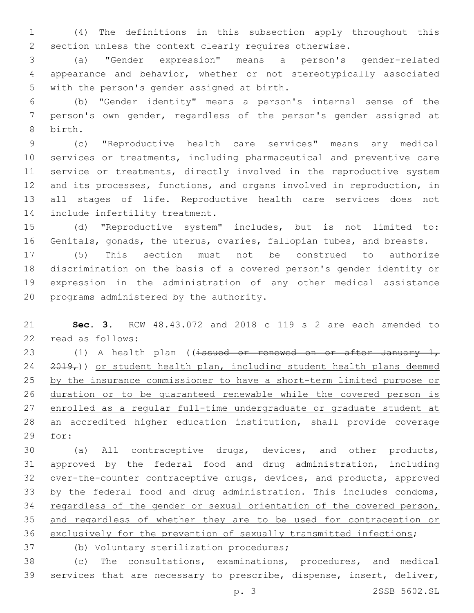(4) The definitions in this subsection apply throughout this section unless the context clearly requires otherwise.

 (a) "Gender expression" means a person's gender-related appearance and behavior, whether or not stereotypically associated 5 with the person's gender assigned at birth.

 (b) "Gender identity" means a person's internal sense of the person's own gender, regardless of the person's gender assigned at 8 birth.

 (c) "Reproductive health care services" means any medical services or treatments, including pharmaceutical and preventive care 11 service or treatments, directly involved in the reproductive system and its processes, functions, and organs involved in reproduction, in all stages of life. Reproductive health care services does not 14 include infertility treatment.

 (d) "Reproductive system" includes, but is not limited to: Genitals, gonads, the uterus, ovaries, fallopian tubes, and breasts.

 (5) This section must not be construed to authorize discrimination on the basis of a covered person's gender identity or expression in the administration of any other medical assistance 20 programs administered by the authority.

 **Sec. 3.** RCW 48.43.072 and 2018 c 119 s 2 are each amended to 22 read as follows:

23 (1) A health plan ((issued or renewed on or after January 1,  $2019<sub>r</sub>$ )) or student health plan, including student health plans deemed by the insurance commissioner to have a short-term limited purpose or duration or to be guaranteed renewable while the covered person is 27 enrolled as a regular full-time undergraduate or graduate student at an accredited higher education institution, shall provide coverage 29 for:

 (a) All contraceptive drugs, devices, and other products, approved by the federal food and drug administration, including over-the-counter contraceptive drugs, devices, and products, approved 33 by the federal food and drug administration. This includes condoms, 34 regardless of the gender or sexual orientation of the covered person, and regardless of whether they are to be used for contraception or exclusively for the prevention of sexually transmitted infections;

37 (b) Voluntary sterilization procedures;

 (c) The consultations, examinations, procedures, and medical services that are necessary to prescribe, dispense, insert, deliver,

p. 3 2SSB 5602.SL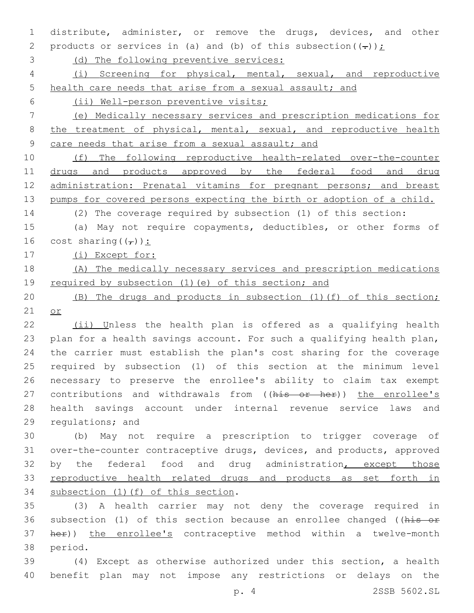distribute, administer, or remove the drugs, devices, and other 2 products or services in (a) and (b) of this subsection  $((-))$ ;

(d) The following preventive services:

 (i) Screening for physical, mental, sexual, and reproductive health care needs that arise from a sexual assault; and

(ii) Well-person preventive visits;

 (e) Medically necessary services and prescription medications for 8 the treatment of physical, mental, sexual, and reproductive health 9 care needs that arise from a sexual assault; and

 (f) The following reproductive health-related over-the-counter 11 drugs and products approved by the federal food and drug administration: Prenatal vitamins for pregnant persons; and breast 13 pumps for covered persons expecting the birth or adoption of a child.

(2) The coverage required by subsection (1) of this section:

 (a) May not require copayments, deductibles, or other forms of 16 cost sharing  $((_T))$ :

17 (i) Except for:

# (A) The medically necessary services and prescription medications 19 required by subsection (1) (e) of this section; and

 (B) The drugs and products in subsection (1)(f) of this section; or

 (ii) Unless the health plan is offered as a qualifying health plan for a health savings account. For such a qualifying health plan, the carrier must establish the plan's cost sharing for the coverage required by subsection (1) of this section at the minimum level necessary to preserve the enrollee's ability to claim tax exempt 27 contributions and withdrawals from ((his or her)) the enrollee's health savings account under internal revenue service laws and 29 regulations; and

 (b) May not require a prescription to trigger coverage of over-the-counter contraceptive drugs, devices, and products, approved 32 by the federal food and drug administration, except those reproductive health related drugs and products as set forth in 34 subsection (1)(f) of this section.

 (3) A health carrier may not deny the coverage required in 36 subsection (1) of this section because an enrollee changed ((his or 37 her)) the enrollee's contraceptive method within a twelve-month 38 period.

 (4) Except as otherwise authorized under this section, a health benefit plan may not impose any restrictions or delays on the

p. 4 2SSB 5602.SL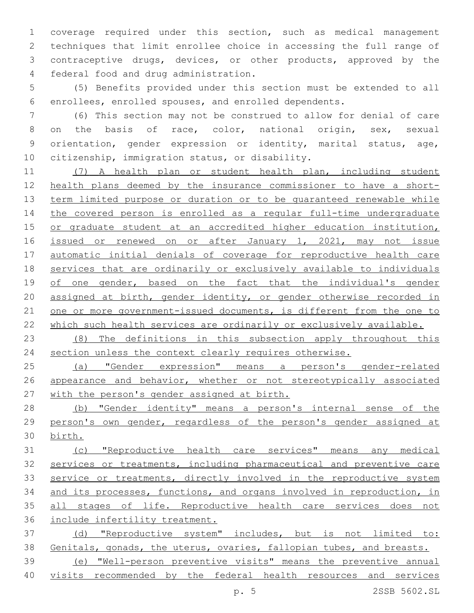coverage required under this section, such as medical management techniques that limit enrollee choice in accessing the full range of contraceptive drugs, devices, or other products, approved by the federal food and drug administration.4

 (5) Benefits provided under this section must be extended to all enrollees, enrolled spouses, and enrolled dependents.

 (6) This section may not be construed to allow for denial of care on the basis of race, color, national origin, sex, sexual orientation, gender expression or identity, marital status, age, 10 citizenship, immigration status, or disability.

 (7) A health plan or student health plan, including student health plans deemed by the insurance commissioner to have a short- term limited purpose or duration or to be guaranteed renewable while the covered person is enrolled as a regular full-time undergraduate 15 or graduate student at an accredited higher education institution, 16 issued or renewed on or after January 1, 2021, may not issue automatic initial denials of coverage for reproductive health care services that are ordinarily or exclusively available to individuals 19 of one gender, based on the fact that the individual's gender assigned at birth, gender identity, or gender otherwise recorded in 21 one or more government-issued documents, is different from the one to which such health services are ordinarily or exclusively available.

 (8) The definitions in this subsection apply throughout this section unless the context clearly requires otherwise.

 (a) "Gender expression" means a person's gender-related appearance and behavior, whether or not stereotypically associated with the person's gender assigned at birth.

 (b) "Gender identity" means a person's internal sense of the person's own gender, regardless of the person's gender assigned at birth.

 (c) "Reproductive health care services" means any medical services or treatments, including pharmaceutical and preventive care 33 service or treatments, directly involved in the reproductive system and its processes, functions, and organs involved in reproduction, in all stages of life. Reproductive health care services does not include infertility treatment.

 (d) "Reproductive system" includes, but is not limited to: Genitals, gonads, the uterus, ovaries, fallopian tubes, and breasts.

 (e) "Well-person preventive visits" means the preventive annual visits recommended by the federal health resources and services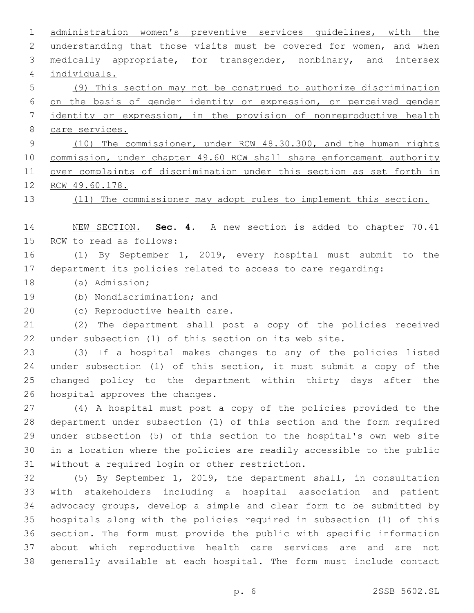administration women's preventive services guidelines, with the 2 understanding that those visits must be covered for women, and when medically appropriate, for transgender, nonbinary, and intersex individuals.4 (9) This section may not be construed to authorize discrimination on the basis of gender identity or expression, or perceived gender identity or expression, in the provision of nonreproductive health care services. (10) The commissioner, under RCW 48.30.300, and the human rights 10 commission, under chapter 49.60 RCW shall share enforcement authority over complaints of discrimination under this section as set forth in RCW 49.60.178. (11) The commissioner may adopt rules to implement this section. NEW SECTION. **Sec. 4.** A new section is added to chapter 70.41 15 RCW to read as follows: (1) By September 1, 2019, every hospital must submit to the department its policies related to access to care regarding: 18 (a) Admission; 19 (b) Nondiscrimination; and 20 (c) Reproductive health care. (2) The department shall post a copy of the policies received under subsection (1) of this section on its web site. (3) If a hospital makes changes to any of the policies listed under subsection (1) of this section, it must submit a copy of the changed policy to the department within thirty days after the 26 hospital approves the changes. (4) A hospital must post a copy of the policies provided to the department under subsection (1) of this section and the form required under subsection (5) of this section to the hospital's own web site in a location where the policies are readily accessible to the public 31 without a required login or other restriction. (5) By September 1, 2019, the department shall, in consultation with stakeholders including a hospital association and patient advocacy groups, develop a simple and clear form to be submitted by hospitals along with the policies required in subsection (1) of this section. The form must provide the public with specific information about which reproductive health care services are and are not generally available at each hospital. The form must include contact p. 6 2SSB 5602.SL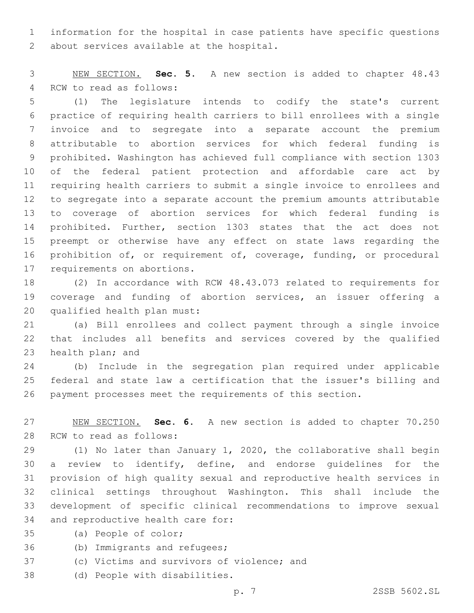information for the hospital in case patients have specific questions 2 about services available at the hospital.

 NEW SECTION. **Sec. 5.** A new section is added to chapter 48.43 4 RCW to read as follows:

 (1) The legislature intends to codify the state's current practice of requiring health carriers to bill enrollees with a single invoice and to segregate into a separate account the premium attributable to abortion services for which federal funding is prohibited. Washington has achieved full compliance with section 1303 of the federal patient protection and affordable care act by requiring health carriers to submit a single invoice to enrollees and to segregate into a separate account the premium amounts attributable to coverage of abortion services for which federal funding is prohibited. Further, section 1303 states that the act does not preempt or otherwise have any effect on state laws regarding the prohibition of, or requirement of, coverage, funding, or procedural 17 requirements on abortions.

 (2) In accordance with RCW 48.43.073 related to requirements for coverage and funding of abortion services, an issuer offering a 20 qualified health plan must:

 (a) Bill enrollees and collect payment through a single invoice that includes all benefits and services covered by the qualified 23 health plan; and

 (b) Include in the segregation plan required under applicable federal and state law a certification that the issuer's billing and payment processes meet the requirements of this section.

 NEW SECTION. **Sec. 6.** A new section is added to chapter 70.250 28 RCW to read as follows:

 (1) No later than January 1, 2020, the collaborative shall begin a review to identify, define, and endorse guidelines for the provision of high quality sexual and reproductive health services in clinical settings throughout Washington. This shall include the development of specific clinical recommendations to improve sexual 34 and reproductive health care for:

- 35 (a) People of color;
- 36 (b) Immigrants and refugees;
- 37 (c) Victims and survivors of violence; and
- 38 (d) People with disabilities.